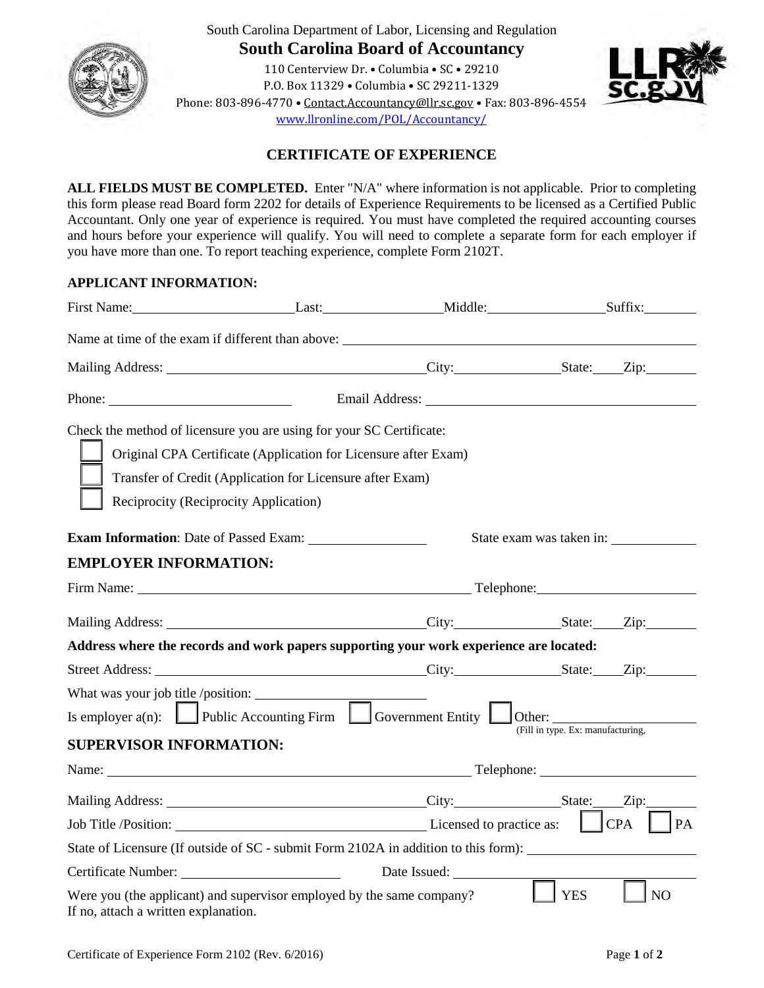

South Carolina Department of Labor, Licensing and Regulation **South Carolina Board of Accountancy**

110 Centerview Dr. • Columbia • SC • 29210 P.O. Box 11329 • Columbia • SC 29211-1329 Phone: 803-896-4770 • [Contact.Accountancy@llr.sc.gov](mailto:Contact.Accountancy@llr.sc.gov%20%E2%80%A2) • Fax: 803-896-4554 [www.llronline.com/POL/Accountancy/](http://www.llronline.com/POL/Accountancy/)



# **CERTIFICATE OF EXPERIENCE**

**ALL FIELDS MUST BE COMPLETED.** Enter "N/A" where information is not applicable. Prior to completing this form please read Board form 2202 for details of Experience Requirements to be licensed as a Certified Public Accountant. Only one year of experience is required. You must have completed the required accounting courses and hours before your experience will qualify. You will need to complete a separate form for each employer if you have more than one. To report teaching experience, complete Form 2102T.

### **APPLICANT INFORMATION:**

| Phone:                                                                                                                                                                   |                                                                                                                              |                                                                                                                                                                                                                                     |                                                                                     |  |
|--------------------------------------------------------------------------------------------------------------------------------------------------------------------------|------------------------------------------------------------------------------------------------------------------------------|-------------------------------------------------------------------------------------------------------------------------------------------------------------------------------------------------------------------------------------|-------------------------------------------------------------------------------------|--|
| Check the method of licensure you are using for your SC Certificate:<br>Reciprocity (Reciprocity Application)                                                            | Original CPA Certificate (Application for Licensure after Exam)<br>Transfer of Credit (Application for Licensure after Exam) |                                                                                                                                                                                                                                     |                                                                                     |  |
|                                                                                                                                                                          |                                                                                                                              |                                                                                                                                                                                                                                     | State exam was taken in:                                                            |  |
| <b>EMPLOYER INFORMATION:</b>                                                                                                                                             |                                                                                                                              |                                                                                                                                                                                                                                     |                                                                                     |  |
|                                                                                                                                                                          |                                                                                                                              |                                                                                                                                                                                                                                     |                                                                                     |  |
|                                                                                                                                                                          |                                                                                                                              |                                                                                                                                                                                                                                     |                                                                                     |  |
| Address where the records and work papers supporting your work experience are located:                                                                                   |                                                                                                                              |                                                                                                                                                                                                                                     |                                                                                     |  |
|                                                                                                                                                                          |                                                                                                                              |                                                                                                                                                                                                                                     |                                                                                     |  |
| What was your job title /position: $\frac{1}{1}$<br>Is employer $a(n)$ : Public Accounting Firm $\Box$ Government Entity $\Box$ Other:<br><b>SUPERVISOR INFORMATION:</b> |                                                                                                                              |                                                                                                                                                                                                                                     | (Fill in type. Ex: manufacturing,                                                   |  |
|                                                                                                                                                                          |                                                                                                                              | Name: <u>Name:</u> Telephone: Name: Name: Name: Name: Name: Name: Name: Name: Name: Name: Name: Name: Name: Name: Name: Name: Name: Name: Name: Name: Name: Name: Name: Name: Name: Name: Name: Name: Name: Name: Name: Name: Name: |                                                                                     |  |
|                                                                                                                                                                          |                                                                                                                              |                                                                                                                                                                                                                                     |                                                                                     |  |
|                                                                                                                                                                          |                                                                                                                              |                                                                                                                                                                                                                                     | CPA<br>PA                                                                           |  |
|                                                                                                                                                                          |                                                                                                                              |                                                                                                                                                                                                                                     | State of Licensure (If outside of SC - submit Form 2102A in addition to this form): |  |
|                                                                                                                                                                          |                                                                                                                              | Date Issued:                                                                                                                                                                                                                        |                                                                                     |  |
| Were you (the applicant) and supervisor employed by the same company?<br>If no, attach a written explanation.                                                            |                                                                                                                              |                                                                                                                                                                                                                                     | <b>YES</b><br>NO <sub>1</sub>                                                       |  |